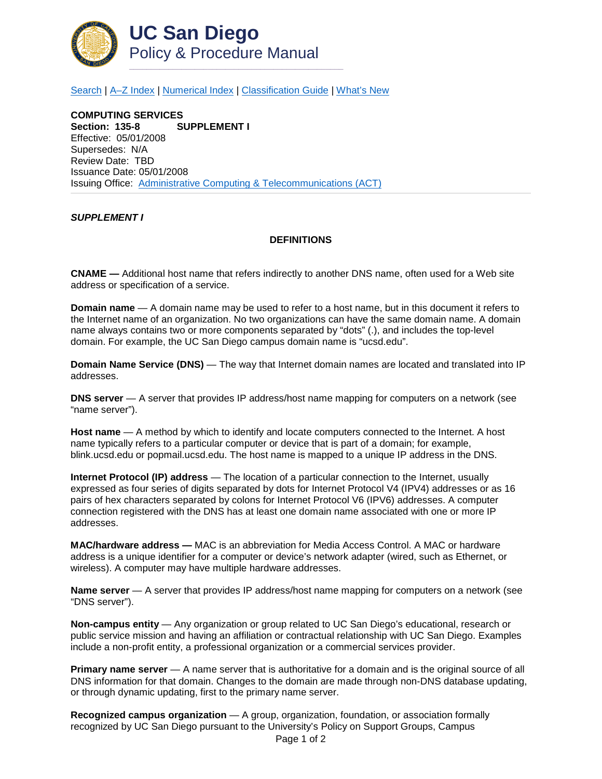

[Search](http://adminrecords.ucsd.edu/ppm/index.html) | [A–Z Index](http://adminrecords.ucsd.edu/ppm/ppmindex.html) | [Numerical Index](http://adminrecords.ucsd.edu/ppm/numerical.html) | [Classification Guide](http://adminrecords.ucsd.edu/ppm/alphabetical.html) | [What's New](http://adminrecords.ucsd.edu/ppm/whatsnew.html)

**COMPUTING SERVICES SUPPLEMENT I** Effective: 05/01/2008 Supersedes: N/A Review Date: TBD Issuance Date: 05/01/2008 Issuing Office:[Administrative Computing & Telecommunications \(ACT\)](http://blink.ucsd.edu/sponsor/ACT/)

## *SUPPLEMENT I*

## **DEFINITIONS**

**CNAME —** Additional host name that refers indirectly to another DNS name, often used for a Web site address or specification of a service.

**Domain name** — A domain name may be used to refer to a host name, but in this document it refers to the Internet name of an organization. No two organizations can have the same domain name. A domain name always contains two or more components separated by "dots" (.), and includes the top-level domain. For example, the UC San Diego campus domain name is "ucsd.edu".

**Domain Name Service (DNS)** — The way that Internet domain names are located and translated into IP addresses.

**DNS server** — A server that provides IP address/host name mapping for computers on a network (see "name server").

**Host name** — A method by which to identify and locate computers connected to the Internet. A host name typically refers to a particular computer or device that is part of a domain; for example, blink.ucsd.edu or popmail.ucsd.edu. The host name is mapped to a unique IP address in the DNS.

**Internet Protocol (IP) address** — The location of a particular connection to the Internet, usually expressed as four series of digits separated by dots for Internet Protocol V4 (IPV4) addresses or as 16 pairs of hex characters separated by colons for Internet Protocol V6 (IPV6) addresses. A computer connection registered with the DNS has at least one domain name associated with one or more IP addresses.

**MAC/hardware address —** MAC is an abbreviation for Media Access Control. A MAC or hardware address is a unique identifier for a computer or device's network adapter (wired, such as Ethernet, or wireless). A computer may have multiple hardware addresses.

**Name server** — A server that provides IP address/host name mapping for computers on a network (see "DNS server").

**Non-campus entity** — Any organization or group related to UC San Diego's educational, research or public service mission and having an affiliation or contractual relationship with UC San Diego. Examples include a non-profit entity, a professional organization or a commercial services provider.

**Primary name server** — A name server that is authoritative for a domain and is the original source of all DNS information for that domain. Changes to the domain are made through non-DNS database updating, or through dynamic updating, first to the primary name server.

**Recognized campus organization** — A group, organization, foundation, or association formally recognized by UC San Diego pursuant to the University's Policy on Support Groups, Campus